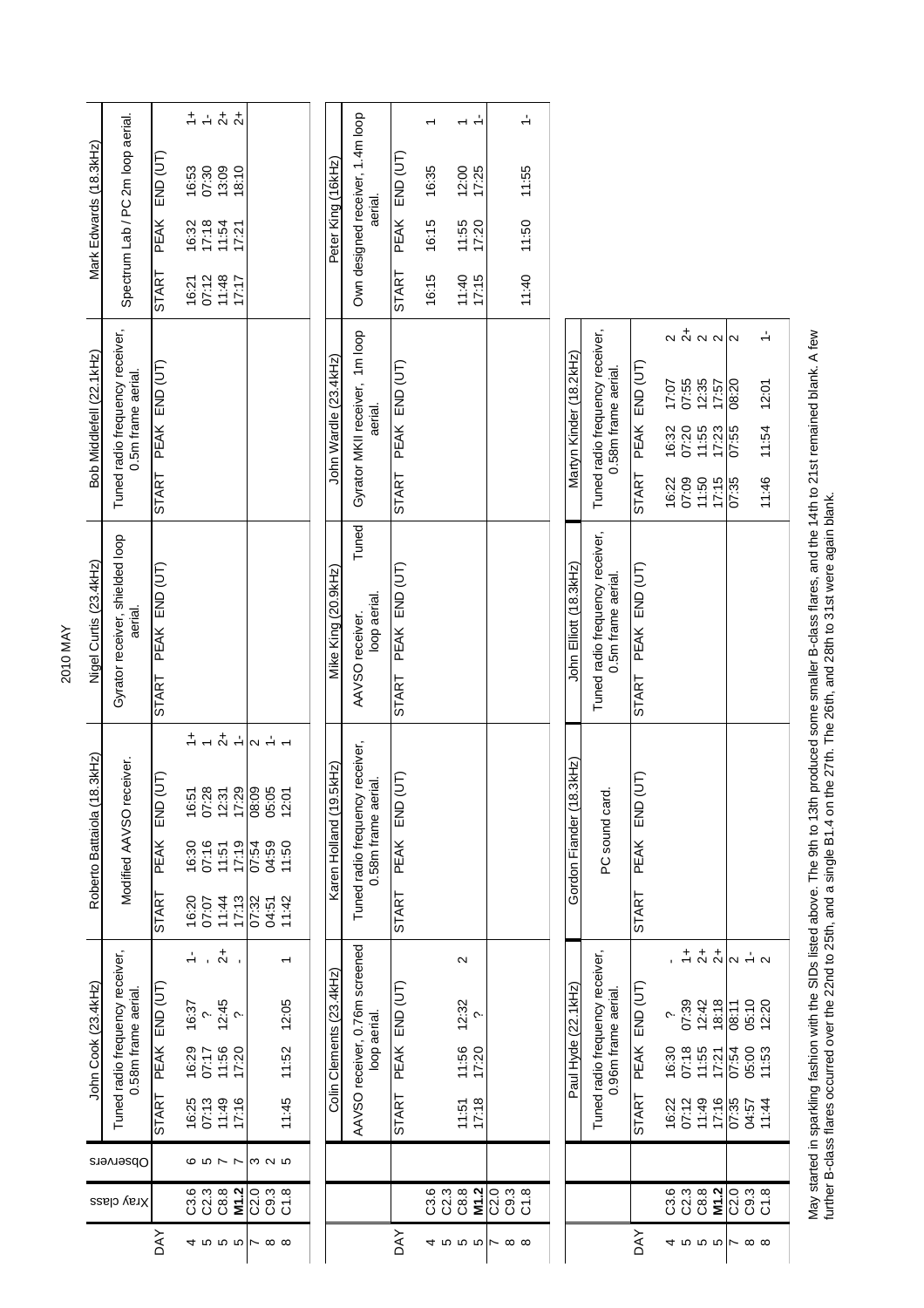| Mark Edwards (18.3kHz)         | Spectrum Lab / PC 2m loop aerial.                      | $END$ $(UT)$<br>PEAK<br>START | $\begin{array}{c} + + & + \\ + & + \\ + & + \end{array}$<br>07:30<br>$\frac{13.09}{18.10}$<br>16:53<br>17:18<br>16:32<br>$11:54$<br>$17:21$<br>07:12<br>$71:18$<br>17:17<br>16:21                                                                                                                                                                                                                                                                               |                                                    | Peter King (16kHz)         | Own designed receiver, 1.4m loop<br>aerial.            | $END$ (UT)<br>PEAK<br><b>START</b>  | 16:35<br>16:15<br>16:15 | $\frac{1}{2}$<br>$\overline{\phantom{0}}$<br>12:00<br>17:25<br>11:55<br>17:20<br>11:40<br>17:15 |                                                       | $\div$<br>11:55<br>11:50<br>11:40 |                             |                                                        |                                            |                                                |                                                                                                                                |                                                                 |                                  |
|--------------------------------|--------------------------------------------------------|-------------------------------|-----------------------------------------------------------------------------------------------------------------------------------------------------------------------------------------------------------------------------------------------------------------------------------------------------------------------------------------------------------------------------------------------------------------------------------------------------------------|----------------------------------------------------|----------------------------|--------------------------------------------------------|-------------------------------------|-------------------------|-------------------------------------------------------------------------------------------------|-------------------------------------------------------|-----------------------------------|-----------------------------|--------------------------------------------------------|--------------------------------------------|------------------------------------------------|--------------------------------------------------------------------------------------------------------------------------------|-----------------------------------------------------------------|----------------------------------|
| Bob Middlefell (22.1kHz)       | Tuned radio frequency receiver,<br>0.5m frame aerial.  | PEAK END (UT)<br>START        |                                                                                                                                                                                                                                                                                                                                                                                                                                                                 |                                                    | John Wardle (23.4kHz)      | Gyrator MKII receiver, 1m loop<br>aerial.              | PEAK END (UT)<br><b>START</b>       |                         |                                                                                                 |                                                       |                                   | Martyn Kinder (18.2kHz)     | Tuned radio frequency receiver,<br>0.58m frame aerial. | $END$ $(UT)$<br><b>PEAK</b><br>START       | 17:07<br>07:20<br>16:32<br>16:22<br>07:09      | $\alpha$ $\stackrel{+}{\alpha}$ $\alpha$ $\stackrel{+}{\alpha}$<br>07:55<br>12:35<br>17:57<br>11:55<br>17:23<br>11:50<br>17:15 | 08:20<br>07:55<br>07:35                                         | ÷<br>12:01<br>11:54<br>11:46     |
| Nigel Curtis (23.4kHz)         | Gyrator receiver, shielded loop<br>aerial.             | PEAK END (UT)<br><b>START</b> |                                                                                                                                                                                                                                                                                                                                                                                                                                                                 |                                                    | Mike King (20.9kHz)        | Tuned<br>loop aerial.<br>AAVSO receiver.               | PEAK END (UT)<br><b>START</b>       |                         |                                                                                                 |                                                       |                                   | John Elliott (18.3kHz)      | Tuned radio frequency receiver,<br>0.5m frame aerial.  | PEAK END (UT)<br><b>START</b>              |                                                |                                                                                                                                |                                                                 |                                  |
| 8.3kHz<br>Roberto Battaiola (1 | Modified AAVSO receiver.                               | (JF<br>END<br>PEAK<br>START   | $\frac{1}{r} + \frac{1}{r} + \frac{1}{r}$ $\frac{1}{r}$ $\frac{1}{r} + \frac{1}{r}$<br>$\begin{array}{l} 16.51 \\ 16.31 \\ 16.32 \\ 16.33 \\ 16.33 \\ 16.33 \\ 16.33 \\ 16.33 \\ 16.33 \\ 16.33 \\ 17.33 \\ 18.33 \\ 19.33 \\ 19.33 \\ 10.33 \\ 11.33 \\ 12.33 \\ 13.33 \\ 14.33 \\ 15.33 \\ 16.33 \\ 17.33 \\ 18.33 \\ 19.33 \\ 19.33 \\ 10.33 \\ 11.33 \\ 12.33 \\ 13.33 \\ 14.33 \\ 15$<br>$77.19$<br>$77.19$<br>$77.19$<br>11:44<br>17:13<br>16:20<br>07:07 | 03:11<br>69:70<br>75:20<br>07:32<br>11:42<br>04:51 | BkHz<br>Karen Holland (19. | Tuned radio frequency receiver,<br>0.58m frame aerial. | (UT)<br>END<br>PEAK<br><b>START</b> |                         |                                                                                                 |                                                       |                                   | 3kHz)<br>Gordon Fiander (18 | PC sound card.                                         | (UT)<br>END<br><b>PEAK</b><br><b>START</b> |                                                |                                                                                                                                |                                                                 |                                  |
| John Cook (23.4kHz)            | Tuned radio frequency receiver,<br>0.58m frame aerial. | PEAK END (UT)<br><b>START</b> | $\frac{1}{2}$<br>÷<br>$\mathbf{r}$<br>$12:45$<br>$2$<br>16:37<br>$\sim$<br>16:29<br>11:56<br>17:20<br>07:17<br>16:25<br>07:13<br>11:49<br>17:16                                                                                                                                                                                                                                                                                                                 | ᠇<br>12:05<br>11:52<br>11:45                       | Colin Clements (23.4kHz)   | AAVSO receiver, 0.76m screened<br>loop aerial.         | PEAK END (UT)<br><b>START</b>       |                         | $\mathbf{\Omega}$<br>12:32<br>$\sim$<br>11:56<br>17:20<br>$11:51$<br>$17:18$                    |                                                       |                                   | Paul Hyde (22.1 kHz)        | Tuned radio frequency receiver<br>0.96m frame aerial.  | END (UT)<br>PEAK<br><b>START</b>           | 07:39<br>پ<br>07:18<br>16:30<br>07:12<br>16:22 | $1 + 74$<br>12:42<br>18:18<br>11:55<br>17:21<br>11:49<br>17:16                                                                 | $\sim$ $\frac{1}{2}$ $\sim$<br>05:10<br>08:11<br>07:54<br>07:35 | 12:20<br>05:00<br>11:53<br>11:44 |
| Observers                      |                                                        |                               | $Q$ $D$ $R$                                                                                                                                                                                                                                                                                                                                                                                                                                                     | m u m                                              |                            |                                                        |                                     |                         |                                                                                                 |                                                       |                                   |                             |                                                        |                                            |                                                |                                                                                                                                |                                                                 |                                  |
| Xray class                     |                                                        | <b>AY</b>                     | C3.3<br>C3<br>C8.8<br>M1.2<br>4555666                                                                                                                                                                                                                                                                                                                                                                                                                           | 0<br>0<br>0<br>0<br>0<br>0<br>0<br>0               |                            |                                                        | DAY                                 | C3.3<br>C2.3            | C8.8<br>M1.2<br>4555                                                                            | 0<br>0<br>0<br>0<br>0<br>0<br>0<br>0<br>$\sim \infty$ |                                   |                             |                                                        | λy                                         |                                                | $3882$<br>$385$                                                                                                                | ិ ១ ១ ១<br>បី បី ប៊                                             |                                  |
|                                |                                                        |                               |                                                                                                                                                                                                                                                                                                                                                                                                                                                                 |                                                    |                            |                                                        |                                     |                         |                                                                                                 |                                                       |                                   |                             |                                                        |                                            |                                                |                                                                                                                                |                                                                 |                                  |

May started in sparkling fashion with the SIDs listed above. The 9th to 13th produced some smaller B-class flares, and the 14th to 21st remained blank. A few<br>further B-class flares occurred over the 22nd to 25th, and a sin May started in sparkling fashion with the SIDs listed above. The 9th to 13th produced some smaller B-class flares, and the 14th to 21st remained blank. A few further B-class flares occurred over the 22nd to 25th, and a single B1.4 on the 27th. The 26th, and 28th to 31st were again blank.

2010 MAY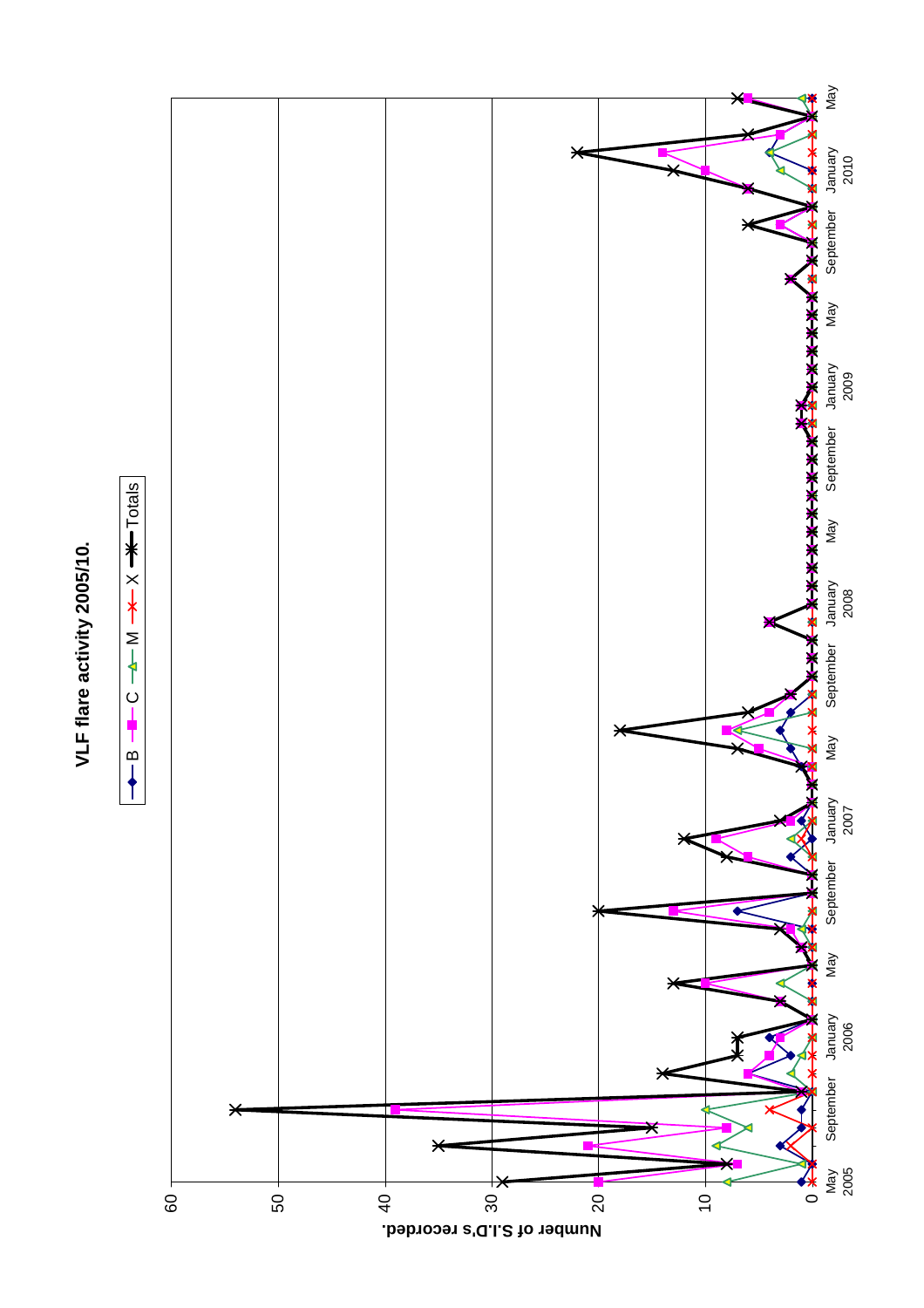

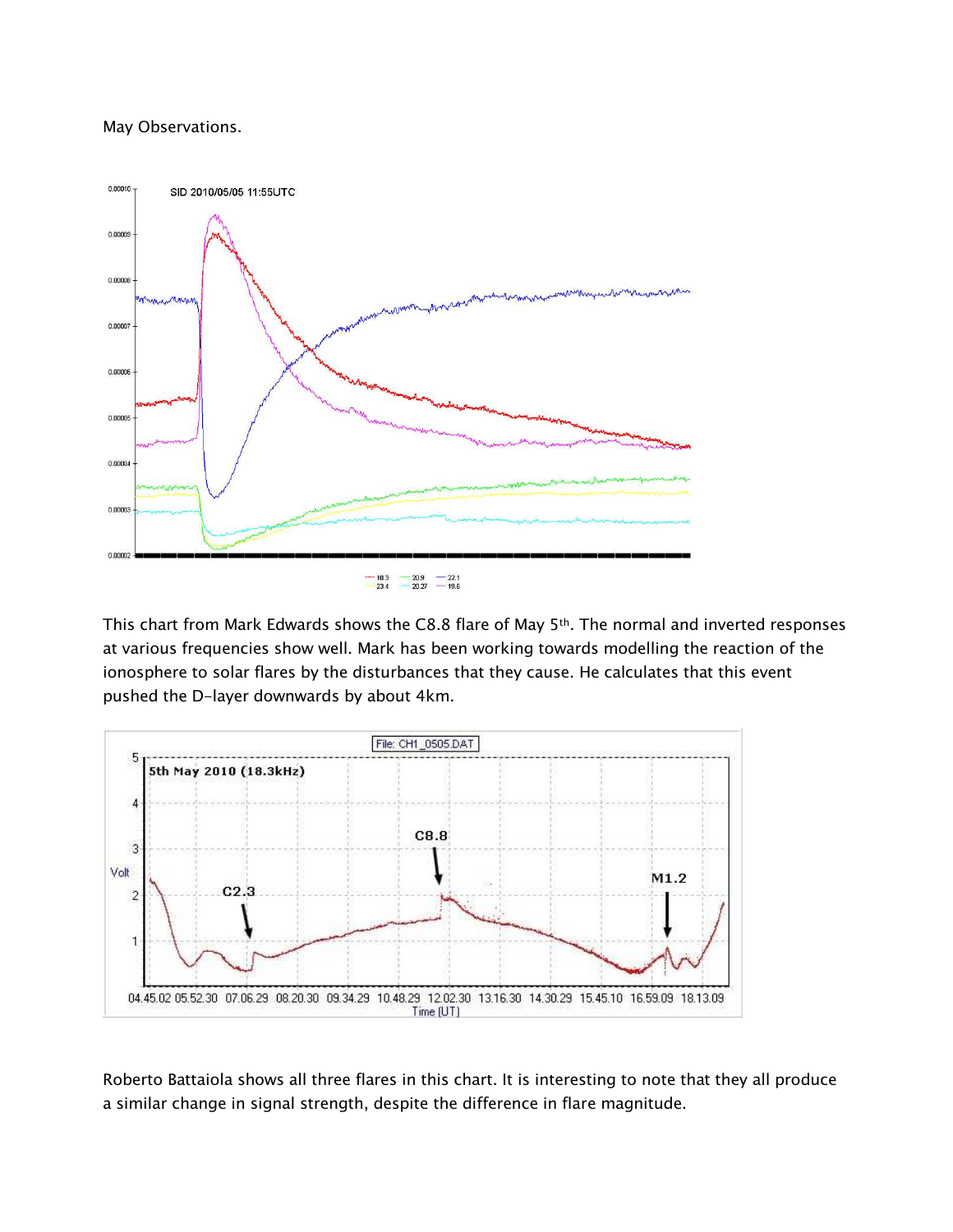## May Observations.



This chart from Mark Edwards shows the C8.8 flare of May 5<sup>th</sup>. The normal and inverted responses at various frequencies show well. Mark has been working towards modelling the reaction of the ionosphere to solar flares by the disturbances that they cause. He calculates that this event pushed the D-layer downwards by about 4km.



Roberto Battaiola shows all three flares in this chart. It is interesting to note that they all produce a similar change in signal strength, despite the difference in flare magnitude.